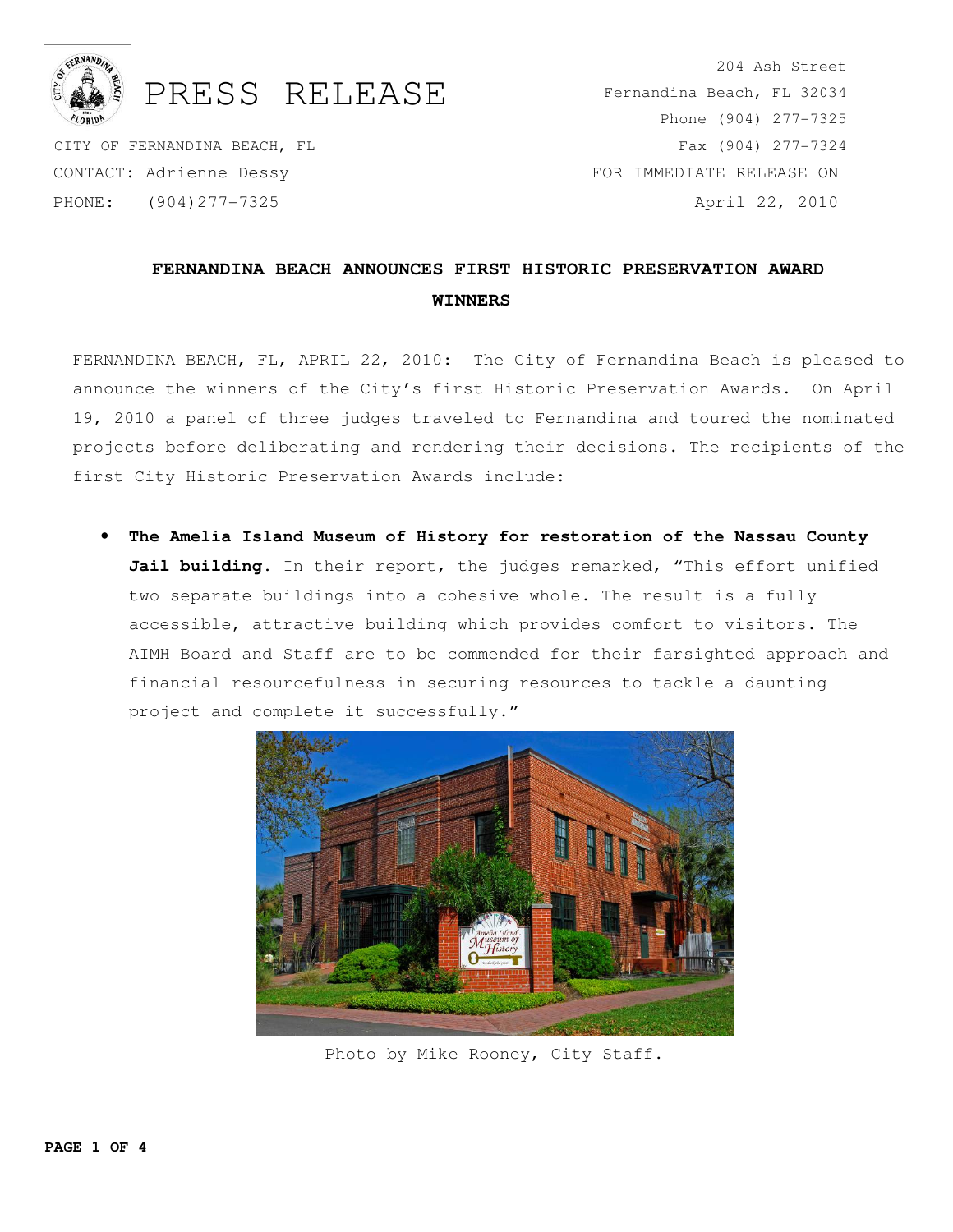

## PRESS RELEASE

 CITY OF FERNANDINA BEACH, FL CONTACT: Adrienne Dessy PHONE: (904)277-7325

204 Ash Street Fernandina Beach, FL 32034 Phone (904) 277-7325 Fax (904) 277-7324 FOR IMMEDIATE RELEASE ON April 22, 2010

## **FERNANDINA BEACH ANNOUNCES FIRST HISTORIC PRESERVATION AWARD WINNERS**

FERNANDINA BEACH, FL, APRIL 22, 2010: The City of Fernandina Beach is pleased to announce the winners of the City's first Historic Preservation Awards. On April 19, 2010 a panel of three judges traveled to Fernandina and toured the nominated projects before deliberating and rendering their decisions. The recipients of the first City Historic Preservation Awards include:

• **The Amelia Island Museum of History for restoration of the Nassau County**  Jail building. In their report, the judges remarked, "This effort unified two separate buildings into a cohesive whole. The result is a fully accessible, attractive building which provides comfort to visitors. The AIMH Board and Staff are to be commended for their farsighted approach and financial resourcefulness in securing resources to tackle a daunting project and complete it successfully."



Photo by Mike Rooney, City Staff.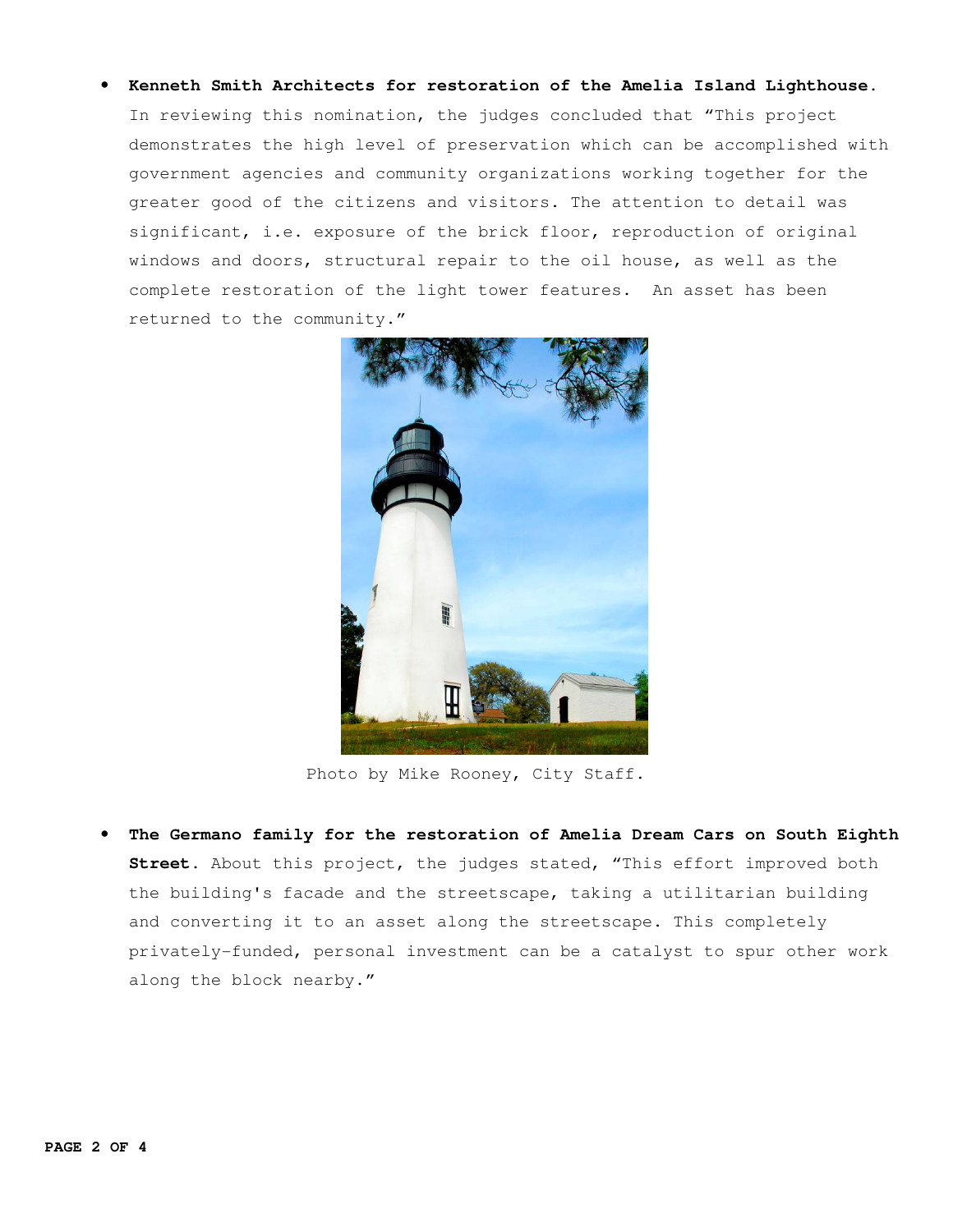• **Kenneth Smith Architects for restoration of the Amelia Island Lighthouse.** In reviewing this nomination, the judges concluded that "This project demonstrates the high level of preservation which can be accomplished with government agencies and community organizations working together for the greater good of the citizens and visitors. The attention to detail was significant, i.e. exposure of the brick floor, reproduction of original windows and doors, structural repair to the oil house, as well as the complete restoration of the light tower features. An asset has been returned to the community."



Photo by Mike Rooney, City Staff.

• **The Germano family for the restoration of Amelia Dream Cars on South Eighth Street.** About this project, the judges stated, "This effort improved both the building's facade and the streetscape, taking a utilitarian building and converting it to an asset along the streetscape. This completely privately-funded, personal investment can be a catalyst to spur other work along the block nearby."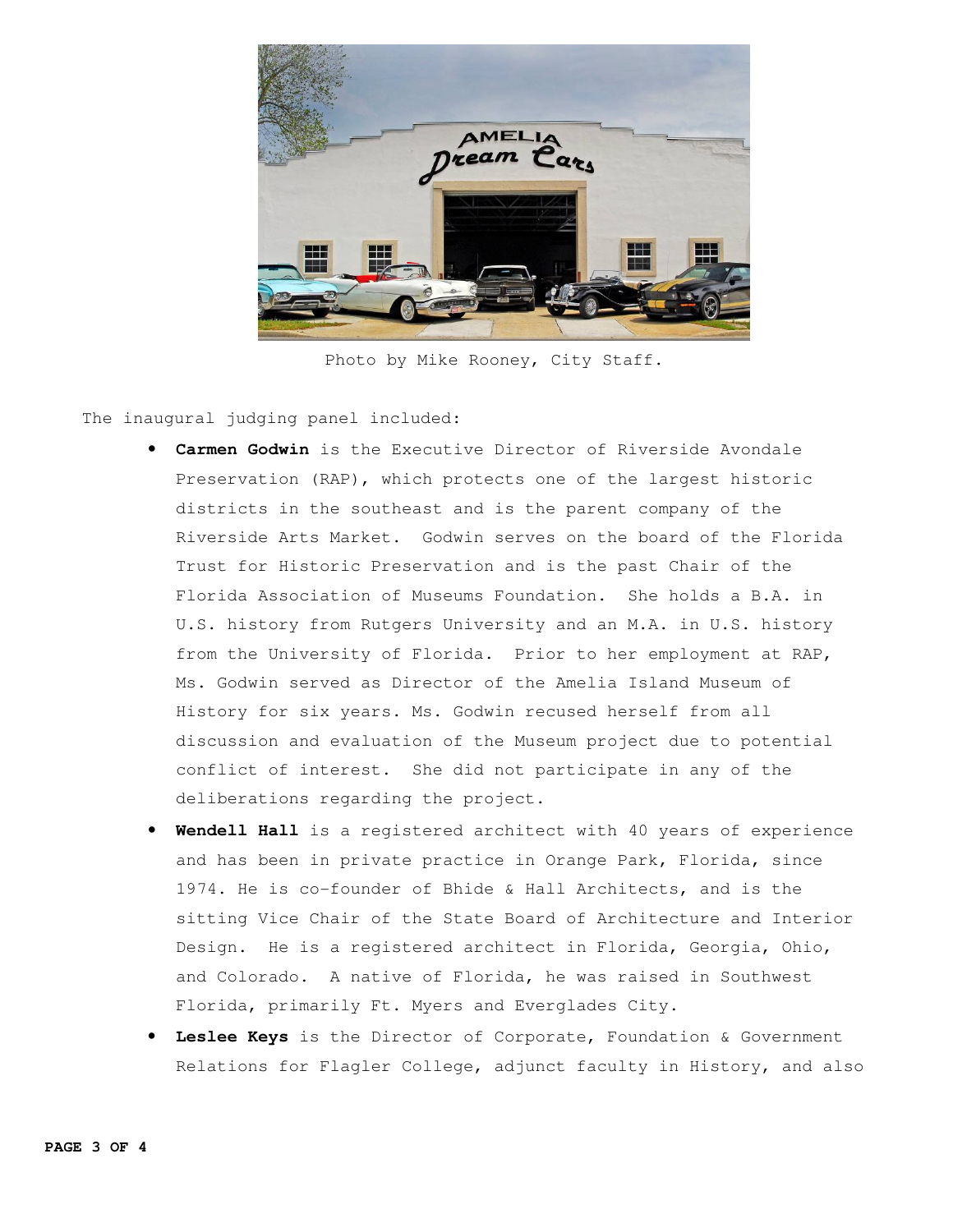

Photo by Mike Rooney, City Staff.

The inaugural judging panel included:

- **Carmen Godwin** is the Executive Director of Riverside Avondale Preservation (RAP), which protects one of the largest historic districts in the southeast and is the parent company of the Riverside Arts Market. Godwin serves on the board of the Florida Trust for Historic Preservation and is the past Chair of the Florida Association of Museums Foundation. She holds a B.A. in U.S. history from Rutgers University and an M.A. in U.S. history from the University of Florida. Prior to her employment at RAP, Ms. Godwin served as Director of the Amelia Island Museum of History for six years. Ms. Godwin recused herself from all discussion and evaluation of the Museum project due to potential conflict of interest. She did not participate in any of the deliberations regarding the project.
- **Wendell Hall** is a registered architect with 40 years of experience and has been in private practice in Orange Park, Florida, since 1974. He is co-founder of Bhide & Hall Architects, and is the sitting Vice Chair of the State Board of Architecture and Interior Design. He is a registered architect in Florida, Georgia, Ohio, and Colorado. A native of Florida, he was raised in Southwest Florida, primarily Ft. Myers and Everglades City.
- **Leslee Keys** is the Director of Corporate, Foundation & Government Relations for Flagler College, adjunct faculty in History, and also